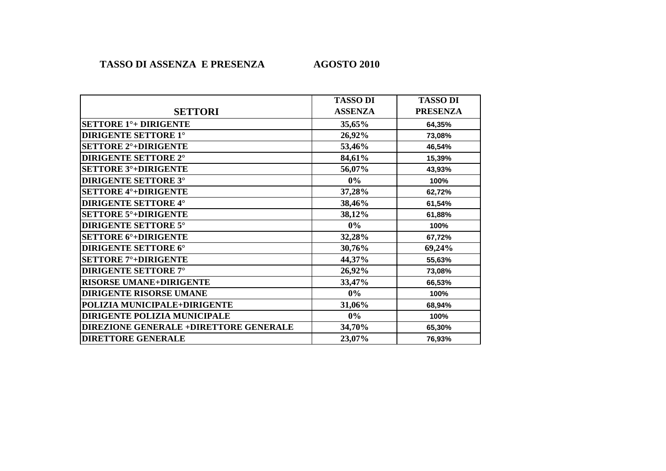## **AGOSTO 2010**

|                                         | <b>TASSO DI</b> | <b>TASSO DI</b> |
|-----------------------------------------|-----------------|-----------------|
| <b>SETTORI</b>                          | <b>ASSENZA</b>  | <b>PRESENZA</b> |
| <b>SETTORE 1<sup>°</sup>+ DIRIGENTE</b> | 35,65%          | 64,35%          |
| <b>DIRIGENTE SETTORE 1°</b>             | 26,92%          | 73,08%          |
| <b>SETTORE 2°+DIRIGENTE</b>             | 53,46%          | 46,54%          |
| <b>DIRIGENTE SETTORE 2°</b>             | 84,61%          | 15,39%          |
| <b>SETTORE 3°+DIRIGENTE</b>             | 56,07%          | 43,93%          |
| <b>DIRIGENTE SETTORE 3°</b>             | $0\%$           | 100%            |
| <b>SETTORE 4°+DIRIGENTE</b>             | 37,28%          | 62,72%          |
| <b>DIRIGENTE SETTORE 4°</b>             | 38,46%          | 61,54%          |
| <b>SETTORE 5°+DIRIGENTE</b>             | 38,12%          | 61,88%          |
| <b>DIRIGENTE SETTORE 5°</b>             | $0\%$           | 100%            |
| <b>SETTORE 6°+DIRIGENTE</b>             | 32,28%          | 67,72%          |
| <b>DIRIGENTE SETTORE 6°</b>             | 30,76%          | 69,24%          |
| <b>SETTORE 7°+DIRIGENTE</b>             | 44,37%          | 55,63%          |
| <b>DIRIGENTE SETTORE 7°</b>             | 26,92%          | 73,08%          |
| <b>RISORSE UMANE+DIRIGENTE</b>          | 33,47%          | 66,53%          |
| <b>DIRIGENTE RISORSE UMANE</b>          | $0\%$           | 100%            |
| POLIZIA MUNICIPALE+DIRIGENTE            | 31,06%          | 68,94%          |
| DIRIGENTE POLIZIA MUNICIPALE            | $0\%$           | 100%            |
| DIREZIONE GENERALE +DIRETTORE GENERALE  | 34,70%          | 65,30%          |
| <b>DIRETTORE GENERALE</b>               | 23,07%          | 76,93%          |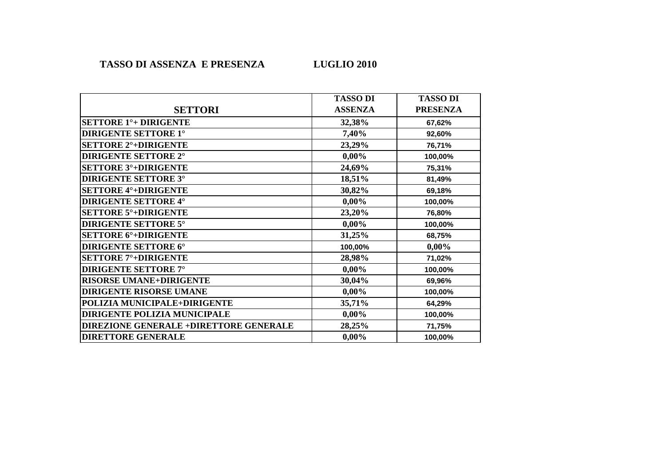|                                               | <b>TASSO DI</b> | <b>TASSO DI</b> |
|-----------------------------------------------|-----------------|-----------------|
| <b>SETTORI</b>                                | <b>ASSENZA</b>  | <b>PRESENZA</b> |
| <b>SETTORE 1<sup>°</sup>+ DIRIGENTE</b>       | 32,38%          | 67,62%          |
| <b>DIRIGENTE SETTORE 1°</b>                   | 7,40%           | 92,60%          |
| <b>SETTORE 2°+DIRIGENTE</b>                   | 23,29%          | 76,71%          |
| <b>DIRIGENTE SETTORE 2°</b>                   | $0,00\%$        | 100,00%         |
| <b>SETTORE 3°+DIRIGENTE</b>                   | 24,69%          | 75,31%          |
| <b>DIRIGENTE SETTORE 3°</b>                   | 18,51%          | 81,49%          |
| <b>SETTORE 4°+DIRIGENTE</b>                   | 30,82%          | 69,18%          |
| <b>DIRIGENTE SETTORE 4°</b>                   | $0,00\%$        | 100,00%         |
| <b>SETTORE 5°+DIRIGENTE</b>                   | 23,20%          | 76,80%          |
| <b>DIRIGENTE SETTORE 5°</b>                   | $0,00\%$        | 100,00%         |
| <b>SETTORE 6°+DIRIGENTE</b>                   | 31,25%          | 68,75%          |
| <b>DIRIGENTE SETTORE 6°</b>                   | 100,00%         | $0,00\%$        |
| <b>SETTORE 7°+DIRIGENTE</b>                   | 28,98%          | 71,02%          |
| <b>DIRIGENTE SETTORE 7°</b>                   | $0,00\%$        | 100,00%         |
| <b>RISORSE UMANE+DIRIGENTE</b>                | 30,04%          | 69,96%          |
| <b>DIRIGENTE RISORSE UMANE</b>                | $0,00\%$        | 100,00%         |
| POLIZIA MUNICIPALE+DIRIGENTE                  | 35,71%          | 64,29%          |
| <b>DIRIGENTE POLIZIA MUNICIPALE</b>           | $0,00\%$        | 100,00%         |
| <b>DIREZIONE GENERALE +DIRETTORE GENERALE</b> | 28,25%          | 71,75%          |
| <b>DIRETTORE GENERALE</b>                     | $0,00\%$        | 100,00%         |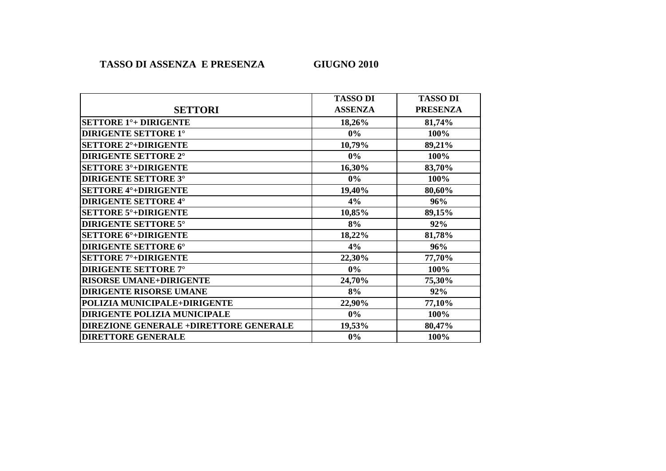# **GIUGNO 2010**

|                                               | <b>TASSO DI</b> | <b>TASSO DI</b> |
|-----------------------------------------------|-----------------|-----------------|
| <b>SETTORI</b>                                | <b>ASSENZA</b>  | <b>PRESENZA</b> |
| <b>SETTORE 1<sup>°</sup>+ DIRIGENTE</b>       | 18,26%          | 81,74%          |
| <b>DIRIGENTE SETTORE 1°</b>                   | $0\%$           | 100%            |
| <b>SETTORE 2°+DIRIGENTE</b>                   | 10,79%          | 89,21%          |
| <b>DIRIGENTE SETTORE 2°</b>                   | $0\%$           | 100%            |
| <b>SETTORE 3°+DIRIGENTE</b>                   | 16,30%          | 83,70%          |
| <b>DIRIGENTE SETTORE 3°</b>                   | $0\%$           | 100%            |
| <b>SETTORE 4°+DIRIGENTE</b>                   | 19,40%          | 80,60%          |
| <b>DIRIGENTE SETTORE 4°</b>                   | 4%              | 96%             |
| <b>SETTORE 5°+DIRIGENTE</b>                   | 10,85%          | 89,15%          |
| <b>DIRIGENTE SETTORE 5°</b>                   | 8%              | 92%             |
| <b>SETTORE 6°+DIRIGENTE</b>                   | 18,22%          | 81,78%          |
| <b>DIRIGENTE SETTORE 6°</b>                   | 4%              | 96%             |
| <b>SETTORE 7°+DIRIGENTE</b>                   | 22,30%          | 77,70%          |
| <b>DIRIGENTE SETTORE 7°</b>                   | $0\%$           | 100%            |
| <b>RISORSE UMANE+DIRIGENTE</b>                | 24,70%          | 75,30%          |
| <b>DIRIGENTE RISORSE UMANE</b>                | 8%              | 92%             |
| POLIZIA MUNICIPALE+DIRIGENTE                  | 22,90%          | 77,10%          |
| <b>DIRIGENTE POLIZIA MUNICIPALE</b>           | $0\%$           | 100%            |
| <b>DIREZIONE GENERALE +DIRETTORE GENERALE</b> | 19,53%          | 80,47%          |
| <b>DIRETTORE GENERALE</b>                     | 0%              | 100%            |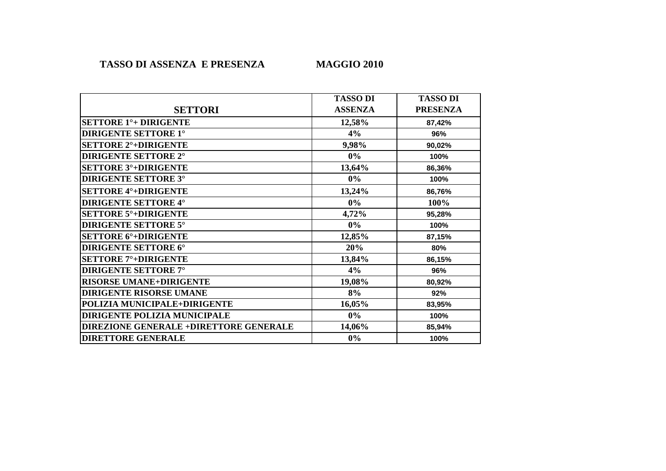# **MAGGIO 2010**

|                                               | <b>TASSO DI</b> | <b>TASSO DI</b> |
|-----------------------------------------------|-----------------|-----------------|
| <b>SETTORI</b>                                | <b>ASSENZA</b>  | <b>PRESENZA</b> |
| <b>SETTORE 1<sup>°</sup>+ DIRIGENTE</b>       | 12,58%          | 87,42%          |
| <b>DIRIGENTE SETTORE 1°</b>                   | 4%              | 96%             |
| <b>SETTORE 2°+DIRIGENTE</b>                   | 9,98%           | 90,02%          |
| <b>DIRIGENTE SETTORE 2°</b>                   | $0\%$           | 100%            |
| <b>SETTORE 3°+DIRIGENTE</b>                   | 13,64%          | 86,36%          |
| <b>DIRIGENTE SETTORE 3°</b>                   | $0\%$           | 100%            |
| <b>SETTORE 4°+DIRIGENTE</b>                   | 13,24%          | 86,76%          |
| <b>DIRIGENTE SETTORE 4°</b>                   | $0\%$           | 100%            |
| <b>SETTORE 5°+DIRIGENTE</b>                   | 4,72%           | 95,28%          |
| <b>DIRIGENTE SETTORE 5°</b>                   | $0\%$           | 100%            |
| <b>SETTORE 6°+DIRIGENTE</b>                   | 12,85%          | 87,15%          |
| <b>DIRIGENTE SETTORE 6°</b>                   | 20%             | 80%             |
| <b>SETTORE 7°+DIRIGENTE</b>                   | 13,84%          | 86,15%          |
| <b>DIRIGENTE SETTORE 7°</b>                   | 4%              | 96%             |
| <b>RISORSE UMANE+DIRIGENTE</b>                | 19,08%          | 80,92%          |
| <b>DIRIGENTE RISORSE UMANE</b>                | 8%              | 92%             |
| POLIZIA MUNICIPALE+DIRIGENTE                  | 16,05%          | 83,95%          |
| DIRIGENTE POLIZIA MUNICIPALE                  | $0\%$           | 100%            |
| <b>DIREZIONE GENERALE +DIRETTORE GENERALE</b> | 14,06%          | 85,94%          |
| <b>DIRETTORE GENERALE</b>                     | $0\%$           | 100%            |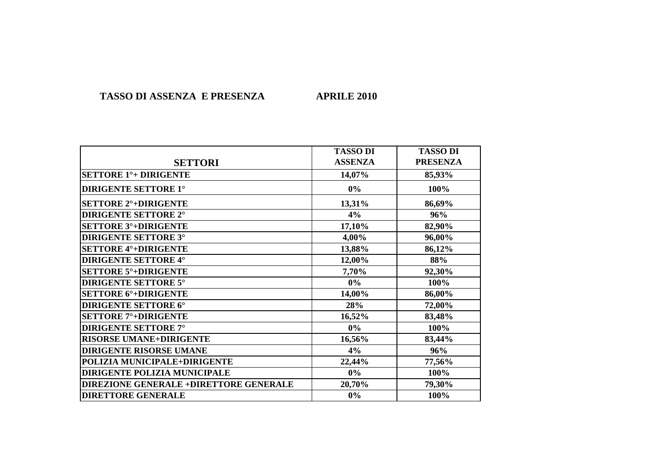#### **TASSO DI ASSENZA E PRESENZA APRILE 2010**

|                                               | <b>TASSO DI</b> | <b>TASSO DI</b> |
|-----------------------------------------------|-----------------|-----------------|
| <b>SETTORI</b>                                | <b>ASSENZA</b>  | <b>PRESENZA</b> |
| <b>SETTORE 1<sup>°</sup>+ DIRIGENTE</b>       | 14,07%          | 85,93%          |
| <b>DIRIGENTE SETTORE 1°</b>                   | 0%              | 100%            |
| <b>SETTORE 2°+DIRIGENTE</b>                   | 13,31%          | 86,69%          |
| <b>DIRIGENTE SETTORE 2°</b>                   | 4%              | 96%             |
| <b>SETTORE 3°+DIRIGENTE</b>                   | 17,10%          | 82,90%          |
| <b>DIRIGENTE SETTORE 3°</b>                   | 4,00%           | 96,00%          |
| <b>SETTORE 4°+DIRIGENTE</b>                   | 13,88%          | 86,12%          |
| <b>DIRIGENTE SETTORE 4°</b>                   | 12,00%          | 88%             |
| <b>SETTORE 5°+DIRIGENTE</b>                   | 7,70%           | 92,30%          |
| <b>DIRIGENTE SETTORE 5°</b>                   | $0\%$           | 100%            |
| <b>SETTORE 6°+DIRIGENTE</b>                   | 14,00%          | 86,00%          |
| <b>DIRIGENTE SETTORE 6°</b>                   | 28%             | 72,00%          |
| <b>SETTORE 7°+DIRIGENTE</b>                   | 16,52%          | 83,48%          |
| <b>DIRIGENTE SETTORE 7°</b>                   | $0\%$           | 100%            |
| <b>RISORSE UMANE+DIRIGENTE</b>                | 16,56%          | 83,44%          |
| <b>DIRIGENTE RISORSE UMANE</b>                | 4%              | 96%             |
| POLIZIA MUNICIPALE+DIRIGENTE                  | 22,44%          | 77,56%          |
| <b>DIRIGENTE POLIZIA MUNICIPALE</b>           | $0\%$           | 100%            |
| <b>DIREZIONE GENERALE +DIRETTORE GENERALE</b> | 20,70%          | 79,30%          |
| <b>DIRETTORE GENERALE</b>                     | $0\%$           | 100%            |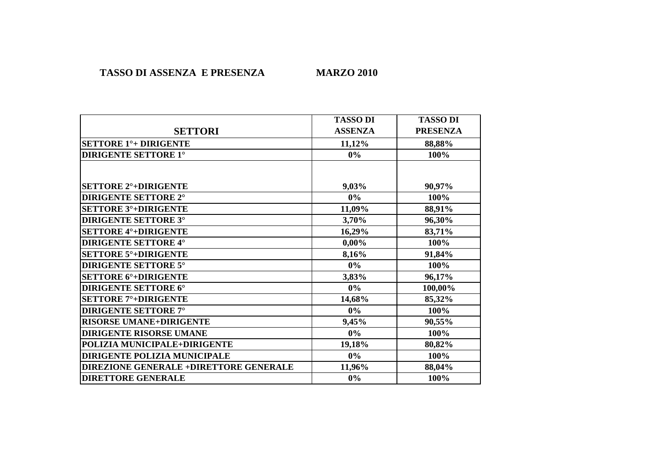|                                         | <b>TASSO DI</b> | <b>TASSO DI</b> |
|-----------------------------------------|-----------------|-----------------|
| <b>SETTORI</b>                          | <b>ASSENZA</b>  | <b>PRESENZA</b> |
| <b>SETTORE 1<sup>°</sup>+ DIRIGENTE</b> | 11,12%          | 88,88%          |
| <b>DIRIGENTE SETTORE 1°</b>             | $0\%$           | 100%            |
|                                         |                 |                 |
| <b>SETTORE 2°+DIRIGENTE</b>             | 9,03%           | 90,97%          |
| <b>DIRIGENTE SETTORE 2°</b>             | $0\%$           | 100%            |
| <b>SETTORE 3°+DIRIGENTE</b>             | 11,09%          | 88,91%          |
| <b>DIRIGENTE SETTORE 3°</b>             | 3,70%           | 96,30%          |
| <b>SETTORE 4°+DIRIGENTE</b>             | 16,29%          | 83,71%          |
| <b>DIRIGENTE SETTORE 4°</b>             | $0,00\%$        | 100%            |
| <b>SETTORE 5°+DIRIGENTE</b>             | 8,16%           | 91,84%          |
| <b>DIRIGENTE SETTORE 5°</b>             | $0\%$           | 100%            |
| <b>SETTORE 6°+DIRIGENTE</b>             | 3,83%           | 96,17%          |
| <b>DIRIGENTE SETTORE 6°</b>             | $0\%$           | 100,00%         |
| <b>SETTORE 7°+DIRIGENTE</b>             | 14,68%          | 85,32%          |
| <b>DIRIGENTE SETTORE 7°</b>             | $0\%$           | 100%            |
| <b>RISORSE UMANE+DIRIGENTE</b>          | 9,45%           | 90,55%          |
| <b>DIRIGENTE RISORSE UMANE</b>          | $0\%$           | 100%            |
| POLIZIA MUNICIPALE+DIRIGENTE            | 19,18%          | 80,82%          |
| DIRIGENTE POLIZIA MUNICIPALE            | $0\%$           | 100%            |
| DIREZIONE GENERALE +DIRETTORE GENERALE  | 11,96%          | 88,04%          |
| <b>DIRETTORE GENERALE</b>               | $0\%$           | 100%            |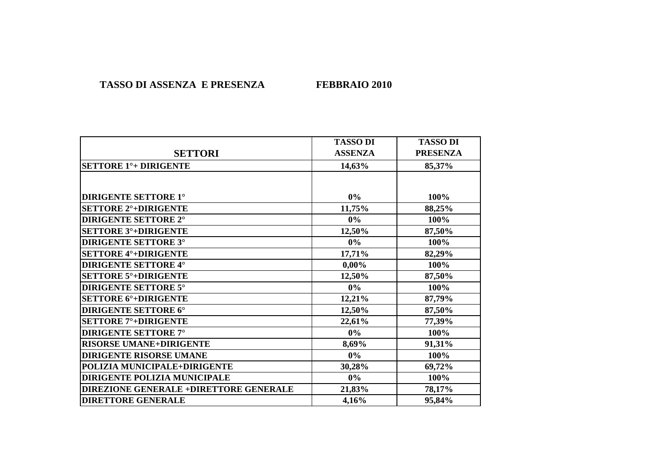### **TASSO DI ASSENZA E PRESENZA FEBBRAIO 2010**

|                                               | <b>TASSO DI</b> | <b>TASSO DI</b> |
|-----------------------------------------------|-----------------|-----------------|
| <b>SETTORI</b>                                | <b>ASSENZA</b>  | <b>PRESENZA</b> |
| <b>SETTORE 1<sup>°</sup>+ DIRIGENTE</b>       | 14,63%          | 85,37%          |
|                                               |                 |                 |
| <b>DIRIGENTE SETTORE 1°</b>                   | $0\%$           | 100%            |
| <b>SETTORE 2°+DIRIGENTE</b>                   | 11,75%          | 88,25%          |
| <b>DIRIGENTE SETTORE 2°</b>                   | $0\%$           | 100%            |
| <b>SETTORE 3°+DIRIGENTE</b>                   | 12,50%          | 87,50%          |
| <b>DIRIGENTE SETTORE 3°</b>                   | $0\%$           | 100%            |
| <b>SETTORE 4°+DIRIGENTE</b>                   | 17,71%          | 82,29%          |
| <b>DIRIGENTE SETTORE 4°</b>                   | $0,00\%$        | 100%            |
| <b>SETTORE 5°+DIRIGENTE</b>                   | 12,50%          | 87,50%          |
| <b>DIRIGENTE SETTORE 5°</b>                   | $0\%$           | 100%            |
| <b>SETTORE 6°+DIRIGENTE</b>                   | 12,21%          | 87,79%          |
| <b>DIRIGENTE SETTORE 6°</b>                   | 12,50%          | 87,50%          |
| <b>SETTORE 7°+DIRIGENTE</b>                   | 22,61%          | 77,39%          |
| <b>DIRIGENTE SETTORE 7°</b>                   | $0\%$           | 100%            |
| <b>RISORSE UMANE+DIRIGENTE</b>                | 8,69%           | 91,31%          |
| <b>DIRIGENTE RISORSE UMANE</b>                | $0\%$           | 100%            |
| POLIZIA MUNICIPALE+DIRIGENTE                  | 30,28%          | 69,72%          |
| DIRIGENTE POLIZIA MUNICIPALE                  | $0\%$           | 100%            |
| <b>DIREZIONE GENERALE +DIRETTORE GENERALE</b> | 21,83%          | 78,17%          |
| <b>DIRETTORE GENERALE</b>                     | 4,16%           | 95,84%          |